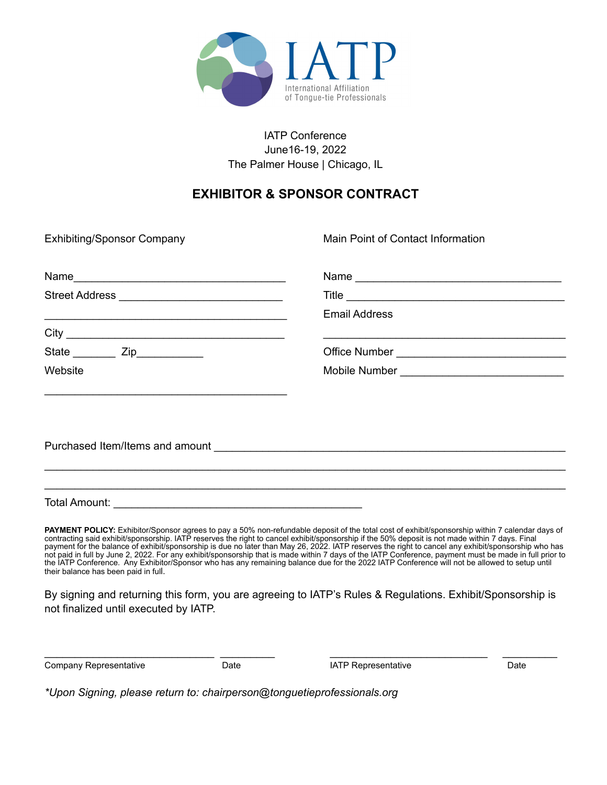

### IATP Conference June16-19, 2022 The Palmer House | Chicago, IL

## **EXHIBITOR & SPONSOR CONTRACT**

Exhibiting/Sponsor Company

Main Point of Contact Information

| Name<br><u> 1980 - Jan Barbara, manazarta bashkar a shekara ta 1980 - An tsara tsara tsara tsara tsara tsara tsara tsara </u>       |                             |
|-------------------------------------------------------------------------------------------------------------------------------------|-----------------------------|
|                                                                                                                                     | Title                       |
| <u> 1989 - An Aonaichte ann an Cathair ann an Cathair ann an Cathair ann an Càrann an Càrann an Càrann an Càrann an </u>            | <b>Email Address</b>        |
| City<br><u> 2008 - Jan Berlin, mars ann an t-Amhraid ann an t-Amhraid ann an t-Amhraid ann an t-Amhraid ann an t-Amhraid an t-A</u> |                             |
| State <u>Cip</u> Zip                                                                                                                |                             |
| Website                                                                                                                             | Mobile Number <u>Number</u> |
|                                                                                                                                     |                             |

Purchased Item/Items and amount **Example 2018** 

Total Amount:

**PAYMENT POLICY:** Exhibitor/Sponsor agrees to pay a 50% non-refundable deposit of the total cost of exhibit/sponsorship within 7 calendar days of contracting said exhibit/sponsorship. IATP reserves the right to cancel exhibit/sponsorship if the 50% deposit is not made within 7 days. Final payment for the balance of exhibit/sponsorship is due no later than May 26, 2022. IATP reserves the right to cancel any exhibit/sponsorship who has not paid in full by June 2, 2022. For any exhibit/sponsorship that is made within 7 days of the IATP Conference, payment must be made in full prior to the IATP Conference. Any Exhibitor/Sponsor who has any remaining balance due for the 2022 IATP Conference will not be allowed to setup until their balance has been paid in full.

\_\_\_\_\_\_\_\_\_\_\_\_\_\_\_\_\_\_\_\_\_\_\_\_\_\_\_\_\_\_\_\_\_\_\_\_\_\_\_\_\_\_\_\_\_\_\_\_\_\_\_\_\_\_\_\_\_\_\_\_\_\_\_\_\_\_\_\_\_\_\_\_\_\_\_\_\_\_\_\_\_\_\_\_\_\_ \_\_\_\_\_\_\_\_\_\_\_\_\_\_\_\_\_\_\_\_\_\_\_\_\_\_\_\_\_\_\_\_\_\_\_\_\_\_\_\_\_\_\_\_\_\_\_\_\_\_\_\_\_\_\_\_\_\_\_\_\_\_\_\_\_\_\_\_\_\_\_\_\_\_\_\_\_\_\_\_\_\_\_\_\_\_

By signing and returning this form, you are agreeing to IATP's Rules & Regulations. Exhibit/Sponsorship is not finalized until executed by IATP.

\_\_\_\_\_\_\_\_\_\_\_\_\_\_\_\_\_\_\_\_\_\_\_\_\_\_\_\_ \_\_\_\_\_\_\_\_\_ \_\_\_\_\_\_\_\_\_\_\_\_\_\_\_\_\_\_\_\_\_\_\_\_\_\_ \_\_\_\_\_\_\_\_\_

Company Representative **Company Representative** Date **Date** IATP Representative **Date** 

*\*Upon Signing, please return to: chairperson@tonguetieprofessionals.org*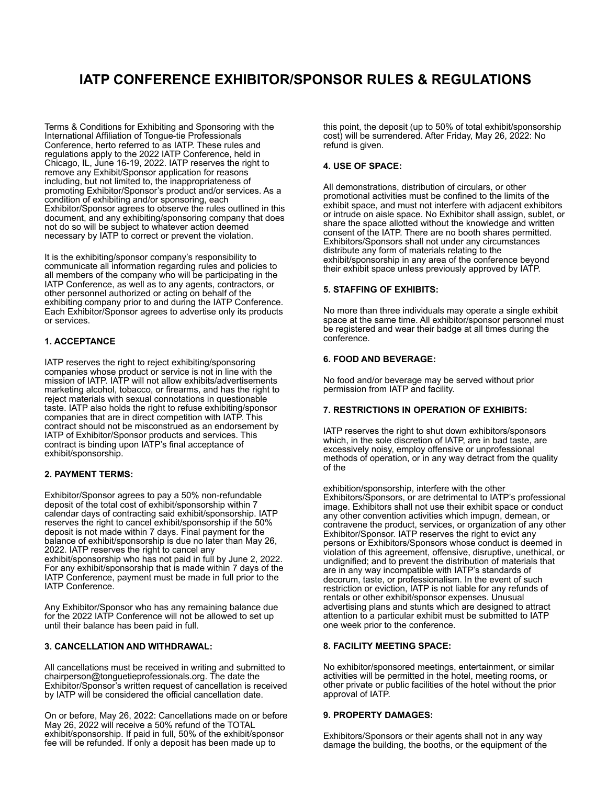# **IATP CONFERENCE EXHIBITOR/SPONSOR RULES & REGULATIONS**

Terms & Conditions for Exhibiting and Sponsoring with the International Affiliation of Tongue-tie Professionals Conference, herto referred to as IATP. These rules and regulations apply to the 2022 IATP Conference, held in Chicago, IL, June 16-19, 2022. IATP reserves the right to remove any Exhibit/Sponsor application for reasons including, but not limited to, the inappropriateness of promoting Exhibitor/Sponsor's product and/or services. As a condition of exhibiting and/or sponsoring, each Exhibitor/Sponsor agrees to observe the rules outlined in this document, and any exhibiting/sponsoring company that does not do so will be subject to whatever action deemed necessary by IATP to correct or prevent the violation.

It is the exhibiting/sponsor company's responsibility to communicate all information regarding rules and policies to all members of the company who will be participating in the IATP Conference, as well as to any agents, contractors, or other personnel authorized or acting on behalf of the exhibiting company prior to and during the IATP Conference. Each Exhibitor/Sponsor agrees to advertise only its products or services.

#### **1. ACCEPTANCE**

IATP reserves the right to reject exhibiting/sponsoring companies whose product or service is not in line with the mission of IATP. IATP will not allow exhibits/advertisements marketing alcohol, tobacco, or firearms, and has the right to reject materials with sexual connotations in questionable taste. IATP also holds the right to refuse exhibiting/sponsor companies that are in direct competition with IATP. This contract should not be misconstrued as an endorsement by IATP of Exhibitor/Sponsor products and services. This contract is binding upon IATP's final acceptance of exhibit/sponsorship.

#### **2. PAYMENT TERMS:**

Exhibitor/Sponsor agrees to pay a 50% non-refundable deposit of the total cost of exhibit/sponsorship within 7 calendar days of contracting said exhibit/sponsorship. IATP reserves the right to cancel exhibit/sponsorship if the 50% deposit is not made within 7 days. Final payment for the balance of exhibit/sponsorship is due no later than May 26, 2022. IATP reserves the right to cancel any exhibit/sponsorship who has not paid in full by June 2, 2022. For any exhibit/sponsorship that is made within 7 days of the IATP Conference, payment must be made in full prior to the IATP Conference.

Any Exhibitor/Sponsor who has any remaining balance due for the 2022 IATP Conference will not be allowed to set up until their balance has been paid in full.

#### **3. CANCELLATION AND WITHDRAWAL:**

All cancellations must be received in writing and submitted to chairperson@tonguetieprofessionals.org. The date the Exhibitor/Sponsor's written request of cancellation is received by IATP will be considered the official cancellation date.

On or before, May 26, 2022: Cancellations made on or before May 26, 2022 will receive a 50% refund of the TOTAL exhibit/sponsorship. If paid in full, 50% of the exhibit/sponsor fee will be refunded. If only a deposit has been made up to

this point, the deposit (up to 50% of total exhibit/sponsorship cost) will be surrendered. After Friday, May 26, 2022: No refund is given.

#### **4. USE OF SPACE:**

All demonstrations, distribution of circulars, or other promotional activities must be confined to the limits of the exhibit space, and must not interfere with adjacent exhibitors or intrude on aisle space. No Exhibitor shall assign, sublet, or share the space allotted without the knowledge and written consent of the IATP. There are no booth shares permitted. Exhibitors/Sponsors shall not under any circumstances distribute any form of materials relating to the exhibit/sponsorship in any area of the conference beyond their exhibit space unless previously approved by IATP.

#### **5. STAFFING OF EXHIBITS:**

No more than three individuals may operate a single exhibit space at the same time. All exhibitor/sponsor personnel must be registered and wear their badge at all times during the conference.

#### **6. FOOD AND BEVERAGE:**

No food and/or beverage may be served without prior permission from IATP and facility.

#### **7. RESTRICTIONS IN OPERATION OF EXHIBITS:**

IATP reserves the right to shut down exhibitors/sponsors which, in the sole discretion of IATP, are in bad taste, are excessively noisy, employ offensive or unprofessional methods of operation, or in any way detract from the quality of the

exhibition/sponsorship, interfere with the other Exhibitors/Sponsors, or are detrimental to IATP's professional image. Exhibitors shall not use their exhibit space or conduct any other convention activities which impugn, demean, or contravene the product, services, or organization of any other Exhibitor/Sponsor. IATP reserves the right to evict any persons or Exhibitors/Sponsors whose conduct is deemed in violation of this agreement, offensive, disruptive, unethical, or undignified; and to prevent the distribution of materials that are in any way incompatible with IATP's standards of decorum, taste, or professionalism. In the event of such restriction or eviction, IATP is not liable for any refunds of rentals or other exhibit/sponsor expenses. Unusual advertising plans and stunts which are designed to attract attention to a particular exhibit must be submitted to IATP one week prior to the conference.

#### **8. FACILITY MEETING SPACE:**

No exhibitor/sponsored meetings, entertainment, or similar activities will be permitted in the hotel, meeting rooms, or other private or public facilities of the hotel without the prior approval of IATP.

#### **9. PROPERTY DAMAGES:**

Exhibitors/Sponsors or their agents shall not in any way damage the building, the booths, or the equipment of the